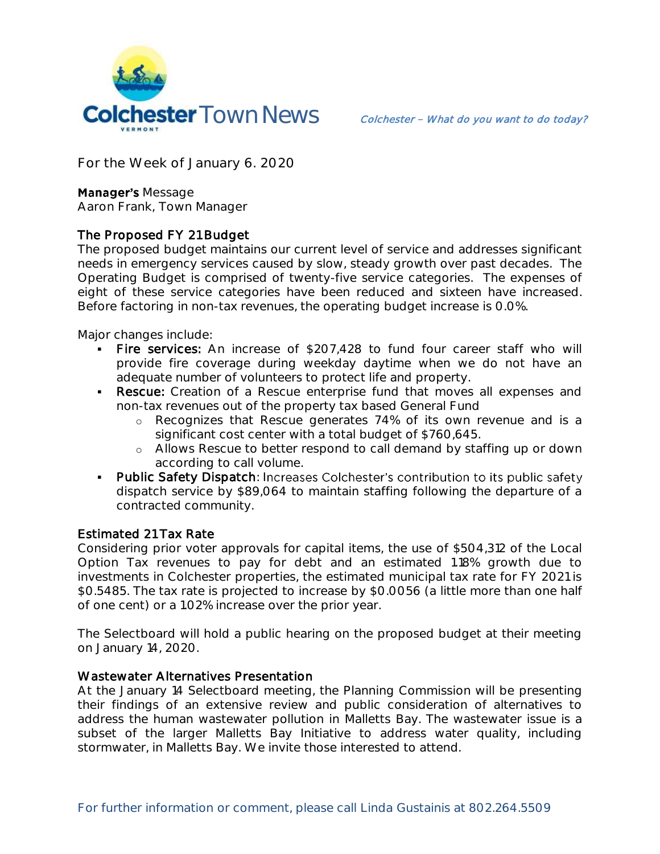

**For the Week of January 6. 2020**

## **Manager's Message**

**Aaron Frank, Town Manager**

## The Proposed FY 21 Budget

The proposed budget maintains our current level of service and addresses significant needs in emergency services caused by slow, steady growth over past decades. The Operating Budget is comprised of twenty-five service categories. The expenses of eight of these service categories have been reduced and sixteen have increased. Before factoring in non-tax revenues, the operating budget increase is 0.0%.

Major changes include:

- Fire services: An increase of \$207,428 to fund four career staff who will provide fire coverage during weekday daytime when we do not have an adequate number of volunteers to protect life and property.
- **Rescue:** Creation of a Rescue enterprise fund that moves all expenses and non-tax revenues out of the property tax based General Fund
	- o Recognizes that Rescue generates 74% of its own revenue and is a significant cost center with a total budget of \$760,645.
	- o Allows Rescue to better respond to call demand by staffing up or down according to call volume.
- Public Safety Dispatch: Increases Colchester's contribution to its public safety dispatch service by \$89,064 to maintain staffing following the departure of a contracted community.

## Estimated 21 Tax Rate

Considering prior voter approvals for capital items, the use of \$504,312 of the Local Option Tax revenues to pay for debt and an estimated 1.18% growth due to investments in Colchester properties, the estimated municipal tax rate for FY 2021 is \$0.5485. The tax rate is projected to increase by \$0.0056 (a little more than one half of one cent) or a 1.02% increase over the prior year.

The Selectboard will hold a public hearing on the proposed budget at their meeting on January 14, 2020.

## Wastewater Alternatives Presentation

At the January 14 Selectboard meeting, the Planning Commission will be presenting their findings of an extensive review and public consideration of alternatives to address the human wastewater pollution in Malletts Bay. The wastewater issue is a subset of the larger Malletts Bay Initiative to address water quality, including stormwater, in Malletts Bay. We invite those interested to attend.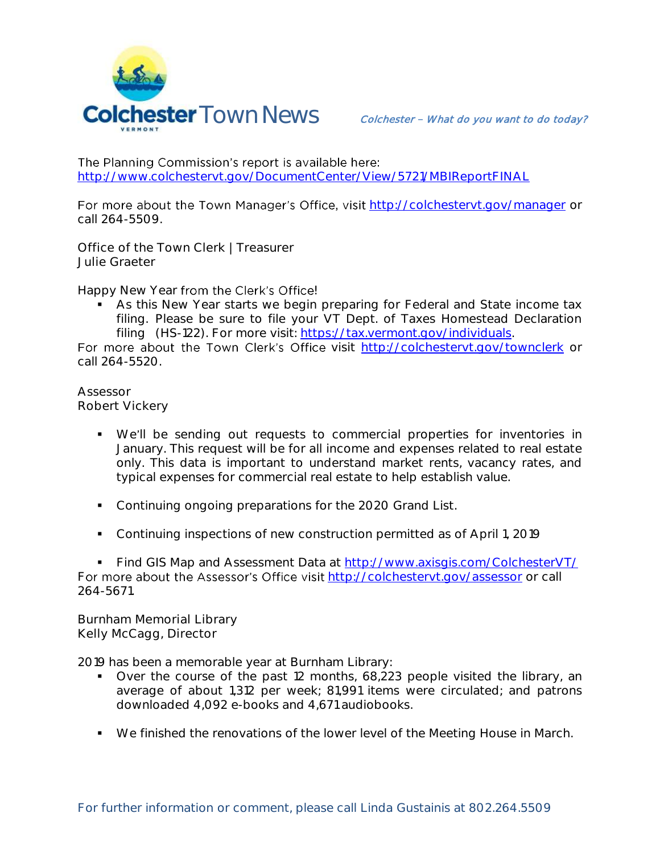

The Planning Commission's report is available here: <http://www.colchestervt.gov/DocumentCenter/View/5721/MBIReportFINAL>

For more about the Town Manager's Office, visit <http://colchestervt.gov/manager> or call 264-5509.

**Office of the Town Clerk | Treasurer Julie Graeter**

Happy New Year from the Clerk's Office!

 As this New Year starts we begin preparing for Federal and State income tax filing. Please be sure to file your VT Dept. of Taxes Homestead Declaration filing (HS-122). For more visit: [https://tax.vermont.gov/individuals.](https://tax.vermont.gov/individuals)

For more about the Town Clerk's Office visit http://colchesteryt.gov/townclerk or call 264-5520.

**Assessor Robert Vickery**

- We'll be sending out requests to commercial properties for inventories in January. This request will be for all income and expenses related to real estate only. This data is important to understand market rents, vacancy rates, and typical expenses for commercial real estate to help establish value.
- Continuing ongoing preparations for the 2020 Grand List.
- Continuing inspections of new construction permitted as of April 1, 2019

 Find GIS Map and Assessment Data at<http://www.axisgis.com/ColchesterVT/> For more about the Assessor's Office visit <http://colchestervt.gov/assessor> or call 264-5671.

**Burnham Memorial Library Kelly McCagg, Director**

2019 has been a memorable year at Burnham Library:

- Over the course of the past 12 months, 68,223 people visited the library, an average of about 1,312 per week; 81,991 items were circulated; and patrons downloaded 4,092 e-books and 4,671 audiobooks.
- We finished the renovations of the lower level of the Meeting House in March.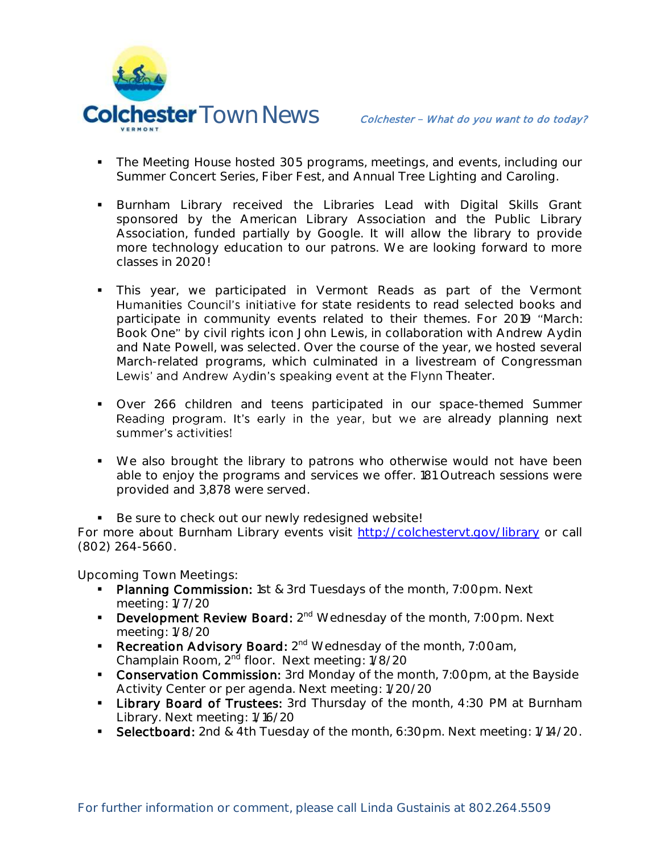

- **The Meeting House hosted 305 programs, meetings, and events, including our** Summer Concert Series, Fiber Fest, and Annual Tree Lighting and Caroling.
- **Burnham Library received the Libraries Lead with Digital Skills Grant** sponsored by the American Library Association and the Public Library Association, funded partially by Google. It will allow the library to provide more technology education to our patrons. We are looking forward to more classes in 2020!
- This year, we participated in Vermont Reads as part of the Vermont Humanities Council's initiative for state residents to read selected books and participate in community events related to their themes. For 2019 "March: Book One" by civil rights icon John Lewis, in collaboration with Andrew Aydin and Nate Powell, was selected. Over the course of the year, we hosted several March-related programs, which culminated in a livestream of Congressman Lewis' and Andrew Aydin's speaking event at the Flynn Theater.
- Over 266 children and teens participated in our space-themed Summer Reading program. It's early in the year, but we are already planning next summer's activities!
- We also brought the library to patrons who otherwise would not have been able to enjoy the programs and services we offer. 181 Outreach sessions were provided and 3,878 were served.

Be sure to check out our newly redesigned website! For more about Burnham Library events visit<http://colchestervt.gov/library> or call (802) 264-5660.

**Upcoming Town Meetings:** 

- Planning Commission: 1st & 3rd Tuesdays of the month, 7:00pm. Next meeting: 1/7/20
- **Development Review Board:**  $2^{nd}$  Wednesday of the month, 7:00pm. Next meeting: 1/8/20
- Recreation Advisory Board: 2<sup>nd</sup> Wednesday of the month, 7:00am, Champlain Room, 2<sup>nd</sup> floor. Next meeting: 1/8/20
- **Conservation Commission:** 3rd Monday of the month, 7:00pm, at the Bayside Activity Center or per agenda. Next meeting: 1/20/20
- **Library Board of Trustees:** 3rd Thursday of the month, 4:30 PM at Burnham Library. Next meeting: 1/16/20
- Selectboard: 2nd & 4th Tuesday of the month, 6:30pm. Next meeting: 1/14/20.